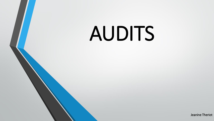# AUDITS

Jeanine Theriot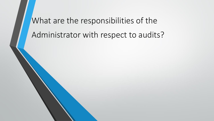What are the responsibilities of the Administrator with respect to audits?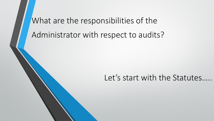What are the responsibilities of the Administrator with respect to audits?

#### Let's start with the Statutes.....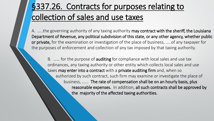A. .....the governing authority of any taxing authority may contract with the sheriff, the Louisiana Department of Revenue, any political subdivision of this state, or any other agency, whether public or private, for the examination or investigation of the place of business, ..... of any taxpayer for the purposes of enforcement and collection of any tax imposed by that taxing authority.

B. ...... for the purpose of **auditing** for compliance with local sales and use tax ordinances, any taxing authority or other entity which collects local sales and use taxes may enter into a contract with a private auditing firm and, when so authorized by such contract, such firm may examine or investigate the place of business, …... The rate of compensation shall be on an hourly basis, plus reasonable expenses. In addition, all such contracts shall be approved by the majority of the affected taxing authorities.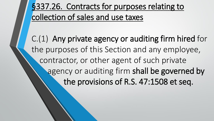C.(1) Any private agency or auditing firm hired for the purposes of this Section and any employee, contractor, or other agent of such private agency or auditing firm shall be governed by the provisions of R.S. 47:1508 et seq.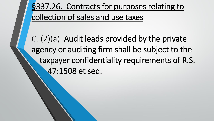C. (2)(a) Audit leads provided by the private agency or auditing firm shall be subject to the taxpayer confidentiality requirements of R.S. 47:1508 et seq.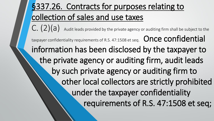# §337.26. Contracts for purposes relating to collection of sales and use taxes  $C. (2)(a)$  Audit leads provided by the private agency or auditing firm shall be subject to the taxpayer confidentiality requirements of R.S. 47:1508 et seq. Once confidential information has been disclosed by the taxpayer to the private agency or auditing firm, audit leads by such private agency or auditing firm to other local collectors are strictly prohibited under the taxpayer confidentiality requirements of R.S. 47:1508 et seq;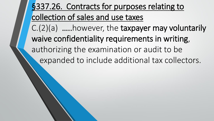# §337.26. Contracts for purposes relating to collection of sales and use taxes C.(2)(a) …..however, the taxpayer may voluntarily waive confidentiality requirements in writing,

authorizing the examination or audit to be expanded to include additional tax collectors.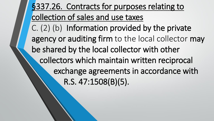§337.26. Contracts for purposes relating to collection of sales and use taxes C. (2) (b) Information provided by the private agency or auditing firm to the local collector may be shared by the local collector with other collectors which maintain written reciprocal exchange agreements in accordance with R.S. 47:1508(B)(5).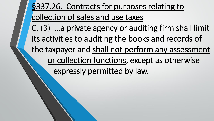# §337.26. Contracts for purposes relating to collection of sales and use taxes C. (3) …a private agency or auditing firm shall limit its activities to auditing the books and records of the taxpayer and shall not perform any assessment or collection functions, except as otherwise expressly permitted by law.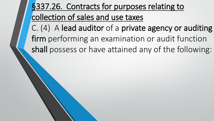C. (4) A lead auditor of a private agency or auditing firm performing an examination or audit function shall possess or have attained any of the following: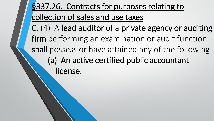# §337.26. Contracts for purposes relating to collection of sales and use taxes C. (4) A lead auditor of a private agency or auditing firm performing an examination or audit function shall possess or have attained any of the following: (a) An active certified public accountant license.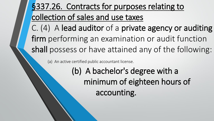C. (4) A lead auditor of a private agency or auditing firm performing an examination or audit function shall possess or have attained any of the following:

(a) An active certified public accountant license.

(b) A bachelor's degree with a minimum of eighteen hours of accounting.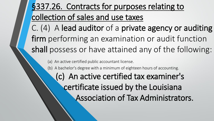C. (4) A lead auditor of a private agency or auditing firm performing an examination or audit function shall possess or have attained any of the following:

(a) An active certified public accountant license.

(b) A bachelor's degree with a minimum of eighteen hours of accounting.

(c) An active certified tax examiner's certificate issued by the Louisiana Association of Tax Administrators.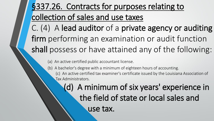C. (4) A lead auditor of a private agency or auditing firm performing an examination or audit function shall possess or have attained any of the following:

(a) An active certified public accountant license.

(b) A bachelor's degree with a minimum of eighteen hours of accounting. (c) An active certified tax examiner's certificate issued by the Louisiana Association of Tax Administrators.

> (d) A minimum of six years' experience in the field of state or local sales and use tax.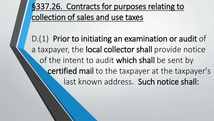D.(1) Prior to initiating an examination or audit of a taxpayer, the local collector shall provide notice of the intent to audit which shall be sent by certified mail to the taxpayer at the taxpayer's last known address. Such notice shall: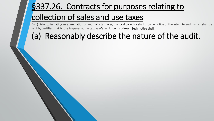D.(1) Prior to initiating an examination or audit of a taxpayer, the local collector shall provide notice of the intent to audit which shall be sent by certified mail to the taxpayer at the taxpayer's last known address. Such notice shall:

## (a) Reasonably describe the nature of the audit.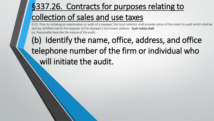D.(1) Prior to initiating an examination or audit of a taxpayer, the local collector shall provide notice of the intent to audit which shall be sent by certified mail to the taxpayer at the taxpayer's last known address. Such notice shall: (a) Reasonably describe the nature of the audit.

# (b) Identify the name, office, address, and office telephone number of the firm or individual who will initiate the audit.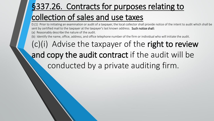D.(1) Prior to initiating an examination or audit of a taxpayer, the local collector shall provide notice of the intent to audit which shall be sent by certified mail to the taxpayer at the taxpayer's last known address. Such notice shall:

(a) Reasonably describe the nature of the audit.

(b) Identify the name, office, address, and office telephone number of the firm or individual who will initiate the audit.

# $(c)(i)$  Advise the taxpayer of the right to review and copy the audit contract if the audit will be conducted by a private auditing firm.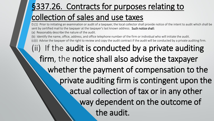D.(1) Prior to initiating an examination or audit of a taxpayer, the local collector shall provide notice of the intent to audit which shall be sent by certified mail to the taxpayer at the taxpayer's last known address. Such notice shall:

(a) Reasonably describe the nature of the audit.

Identify the name, office, address, and office telephone number of the firm or individual who will initiate the audit.

(c)(i) Advise the taxpayer of the right to review and copy the audit contract if the audit will be conducted by a private auditing firm.

(ii) If the audit is conducted by a private auditing firm, the notice shall also advise the taxpayer whether the payment of compensation to the private auditing firm is contingent upon the actual collection of tax or in any other way dependent on the outcome of the audit.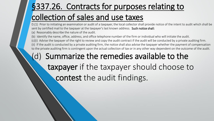D.(1) Prior to initiating an examination or audit of a taxpayer, the local collector shall provide notice of the intent to audit which shall be sent by certified mail to the taxpayer at the taxpayer's last known address. Such notice shall:

(a) Reasonably describe the nature of the audit.

(b) Identify the name, office, address, and office telephone number of the firm or individual who will initiate the audit.

(c)(i) Advise the taxpayer of the right to review and copy the audit contract if the audit will be conducted by a private auditing firm.

(ii) If the audit is conducted by a private auditing firm, the notice shall also advise the taxpayer whether the payment of compensation to the private auditing firm is contingent upon the actual collection of tax or in any other way dependent on the outcome of the audit.

## (d) Summarize the remedies available to the taxpayer if the taxpayer should choose to contest the audit findings.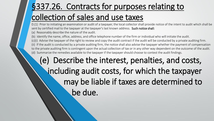D.(1) Prior to initiating an examination or audit of a taxpayer, the local collector shall provide notice of the intent to audit which shall be sent by certified mail to the taxpayer at the taxpayer's last known address. Such notice shall:

(a) Reasonably describe the nature of the audit.

(b) Identify the name, office, address, and office telephone number of the firm or individual who will initiate the audit.

(c)(i) Advise the taxpayer of the right to review and copy the audit contract if the audit will be conducted by a private auditing firm. (ii) If the audit is conducted by a private auditing firm, the notice shall also advise the taxpayer whether the payment of compensation

to the private auditing firm is contingent upon the actual collection of tax or in any other way dependent on the outcome of the audit. (d) Summarize the remedies available to the taxpayer if the taxpayer should choose to contest the audit findings.

## (e) Describe the interest, penalties, and costs, including audit costs, for which the taxpayer may be liable if taxes are determined to be due.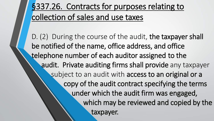D. (2) During the course of the audit, the taxpayer shall be notified of the name, office address, and office telephone number of each auditor assigned to the audit. Private auditing firms shall provide any taxpayer subject to an audit with access to an original or a copy of the audit contract specifying the terms under which the audit firm was engaged, which may be reviewed and copied by the taxpayer.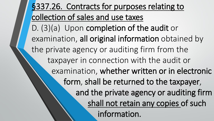§337.26. Contracts for purposes relating to collection of sales and use taxes D. (3)(a) Upon completion of the audit or examination, all original information obtained by the private agency or auditing firm from the taxpayer in connection with the audit or examination, whether written or in electronic form, shall be returned to the taxpayer, and the private agency or auditing firm shall not retain any copies of such information.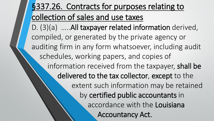D. (3)(a) …..All taxpayer related information derived, compiled, or generated by the private agency or auditing firm in any form whatsoever, including audit schedules, working papers, and copies of information received from the taxpayer, shall be delivered to the tax collector, except to the extent such information may be retained by certified public accountants in accordance with the Louisiana Accountancy Act.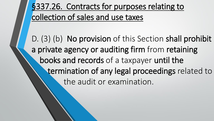D. (3) (b) No provision of this Section shall prohibit a private agency or auditing firm from retaining books and records of a taxpayer until the termination of any legal proceedings related to the audit or examination.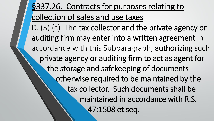# §337.26. Contracts for purposes relating to collection of sales and use taxes D. (3) (c) The tax collector and the private agency or auditing firm may enter into a written agreement in accordance with this Subparagraph, authorizing such private agency or auditing firm to act as agent for the storage and safekeeping of documents otherwise required to be maintained by the tax collector. Such documents shall be maintained in accordance with R.S. 47:1508 et seq.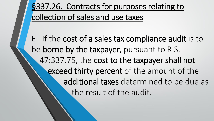E. If the cost of a sales tax compliance audit is to be borne by the taxpayer, pursuant to R.S. 47:337.75, the cost to the taxpayer shall not exceed thirty percent of the amount of the additional taxes determined to be due as the result of the audit.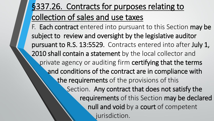F. Each contract entered into pursuant to this Section may be subject to review and oversight by the legislative auditor pursuant to R.S. 13:5529. Contracts entered into after July 1, 2010 shall contain a statement by the local collector and private agency or auditing firm certifying that the terms and conditions of the contract are in compliance with the requirements of the provisions of this Section. Any contract that does not satisfy the requirements of this Section may be declared null and void by a court of competent jurisdiction.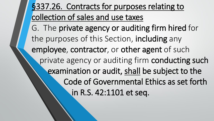§337.26. Contracts for purposes relating to collection of sales and use taxes G. The private agency or auditing firm hired for the purposes of this Section, including any employee, contractor, or other agent of such private agency or auditing firm conducting such examination or audit, shall be subject to the Code of Governmental Ethics as set forth in R.S. 42:1101 et seq.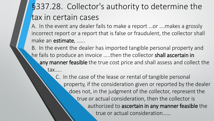# §337.28. Collector's authority to determine the tax in certain cases

A. In the event any dealer fails to make a report …or ….makes a grossly incorrect report or a report that is false or fraudulent, the collector shall make an estimate, ......

B. In the event the dealer has imported tangible personal property and he fails to produce an invoice …..then the collector shall ascertain in any manner feasible the true cost price and shall assess and collect the tax…..

> C. In the case of the lease or rental of tangible personal property, if the consideration given or reported by the dealer does not, in the judgment of the collector, represent the true or actual consideration, then the collector is authorized to ascertain in any manner feasible the true or actual consideration……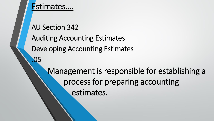AU Section 342 Auditing Accounting Estimates Developing Accounting Estimates .05 Management is responsible for establishing a process for preparing accounting estimates.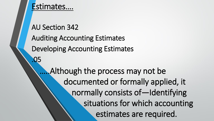AU Section 342 Auditing Accounting Estimates Developing Accounting Estimates .05 . Although the process may not be documented or formally applied, it normally consists of—Identifying situations for which accounting estimates are required.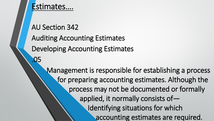AU Section 342 Auditing Accounting Estimates Developing Accounting Estimates .05 Management is responsible for establishing a process for preparing accounting estimates. Although the process may not be documented or formally applied, it normally consists of— Identifying situations for which accounting estimates are required.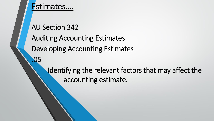AU Section 342 Auditing Accounting Estimates Developing Accounting Estimates .05 Identifying the relevant factors that may affect the

accounting estimate.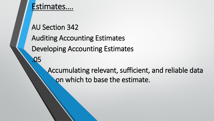AU Section 342 Auditing Accounting Estimates Developing Accounting Estimates .05

> Accumulating relevant, sufficient, and reliable data on which to base the estimate.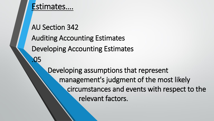AU Section 342 Auditing Accounting Estimates Developing Accounting Estimates .05 Developing assumptions that represent management's judgment of the most likely circumstances and events with respect to the relevant factors.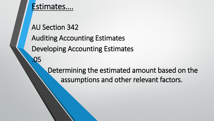AU Section 342 Auditing Accounting Estimates Developing Accounting Estimates .05

Determining the estimated amount based on the assumptions and other relevant factors.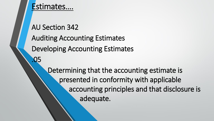AU Section 342 Auditing Accounting Estimates Developing Accounting Estimates .05 Determining that the accounting estimate is presented in conformity with applicable accounting principles and that disclosure is adequate.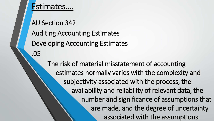AU Section 342 Auditing Accounting Estimates Developing Accounting Estimates .05

> The risk of material misstatement of accounting estimates normally varies with the complexity and subjectivity associated with the process, the availability and reliability of relevant data, the number and significance of assumptions that are made, and the degree of uncertainty associated with the assumptions.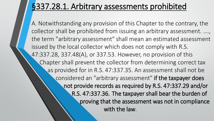## §337.28.1. Arbitrary assessments prohibited

A. Notwithstanding any provision of this Chapter to the contrary, the collector shall be prohibited from issuing an arbitrary assessment. …., the term "arbitrary assessment" shall mean an estimated assessment issued by the local collector which does not comply with R.S. 47:337.28, 337.48(A), or 337.53. However, no provision of this Chapter shall prevent the collector from determining correct tax as provided for in R.S. 47:337.35. An assessment shall not be considered an "arbitrary assessment" if the taxpayer does not provide records as required by R.S. 47:337.29 and/or R.S. 47:337.36. The taxpayer shall bear the burden of proving that the assessment was not in compliance with the law.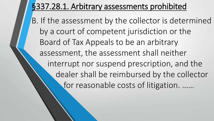## §337.28.1. Arbitrary assessments prohibited

B. If the assessment by the collector is determined by a court of competent jurisdiction or the Board of Tax Appeals to be an arbitrary assessment, the assessment shall neither interrupt nor suspend prescription, and the dealer shall be reimbursed by the collector for reasonable costs of litigation. ……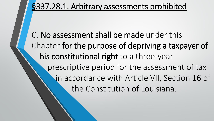§337.28.1. Arbitrary assessments prohibited

C. No assessment shall be made under this Chapter for the purpose of depriving a taxpayer of his constitutional right to a three-year prescriptive period for the assessment of tax in accordance with Article VII, Section 16 of the Constitution of Louisiana.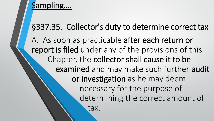### Sampling….

## §337.35. Collector's duty to determine correct tax

A. As soon as practicable after each return or report is filed under any of the provisions of this Chapter, the collector shall cause it to be examined and may make such further audit or investigation as he may deem necessary for the purpose of determining the correct amount of tax.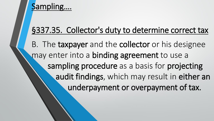#### Sampling….

## §337.35. Collector's duty to determine correct tax

B. The taxpayer and the collector or his designee may enter into a **binding agreement** to use a sampling procedure as a basis for projecting audit findings, which may result in either an underpayment or overpayment of tax.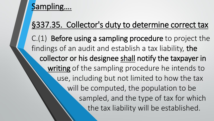## Sampling.

## §337.35. Collector's duty to determine correct tax

C.(1) Before using a sampling procedure to project the findings of an audit and establish a tax liability, the collector or his designee shall notify the taxpayer in writing of the sampling procedure he intends to use, including but not limited to how the tax will be computed, the population to be sampled, and the type of tax for which the tax liability will be established.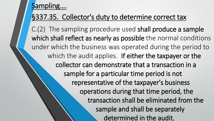#### Sampling….

#### §337.35. Collector's duty to determine correct tax

C.(2) The sampling procedure used shall produce a sample which shall reflect as nearly as possible the normal conditions under which the business was operated during the period to which the audit applies. If either the taxpayer or the collector can demonstrate that a transaction in a sample for a particular time period is not representative of the taxpayer's business operations during that time period, the transaction shall be eliminated from the sample and shall be separately determined in the audit.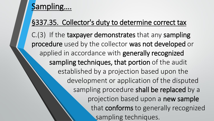## Sampling.

#### §337.35. Collector's duty to determine correct tax

C.(3) If the taxpayer demonstrates that any sampling procedure used by the collector was not developed or applied in accordance with generally recognized sampling techniques, that portion of the audit established by a projection based upon the development or application of the disputed sampling procedure shall be replaced by a projection based upon a new sample that conforms to generally recognized sampling techniques.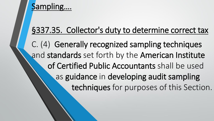#### Sampling….

### §337.35. Collector's duty to determine correct tax

C. (4) Generally recognized sampling techniques and standards set forth by the American Institute of Certified Public Accountants shall be used as guidance in developing audit sampling techniques for purposes of this Section.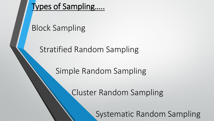Block Sampling

Stratified Random Sampling

Simple Random Sampling

Cluster Random Sampling

Systematic Random Sampling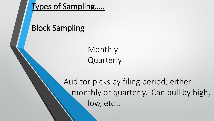## Block Sampling

Monthly **Quarterly** 

Auditor picks by filing period; either monthly or quarterly. Can pull by high, low, etc…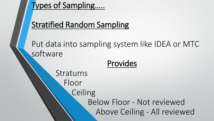## Stratified Random Sampling

Put data into sampling system like IDEA or MTC software

#### Provides

Stratums Floor **Ceiling** Below Floor - Not reviewed Above Ceiling - All reviewed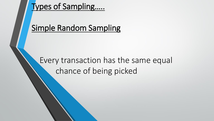## Simple Random Sampling

## Every transaction has the same equal chance of being picked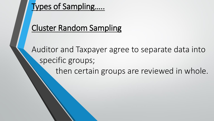## Cluster Random Sampling

Auditor and Taxpayer agree to separate data into specific groups; then certain groups are reviewed in whole.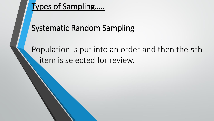## Systematic Random Sampling

Population is put into an order and then the *n*th item is selected for review.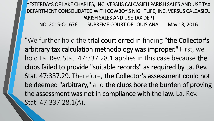YESTERDAYS OF LAKE CHARLES, INC. VERSUS CALCASIEU PARISH SALES AND USE TAX DEPARTMENT CONSOLIDATED WITH COWBOY'S NIGHTLIFE, INC. VERSUS CALCASIEU PARISH SALES AND USE TAX DEPT NO. 2015-C-1676 SUPREME COURT OF LOUISIANA May 13, 2016

"We further hold the trial court erred in finding "the Collector's arbitrary tax calculation methodology was improper." First, we hold La. Rev. Stat. 47:337.28.1 applies in this case because the clubs failed to provide "suitable records" as required by La. Rev. Stat. 47:337.29. Therefore, the Collector's assessment could not be deemed "arbitrary," and the clubs bore the burden of proving the assessment was not in compliance with the law. La. Rev. Stat. 47:337.28.1(A).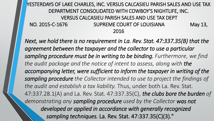#### YESTERDAYS OF LAKE CHARLES, INC. VERSUS CALCASIEU PARISH SALES AND USE TAX DEPARTMENT CONSOLIDATED WITH COWBOY'S NIGHTLIFE, INC. VERSUS CALCASIEU PARISH SALES AND USE TAX DEPT NO. 2015-C-1676 SUPREME COURT OF LOUISIANA May 13, 2016

*Next, we hold there is no requirement in La. Rev. Stat. 47:337.35(B) that the agreement between the taxpayer and the collector to use a particular sampling procedure must be in writing to be binding. Furthermore, we find the audit package and the notice of intent to assess, along with the*  accompanying letter, were sufficient to inform the taxpayer in writing of the *sampling procedure the Collector intended to use to project the findings of the audit and establish a tax liability.* Thus, under both La. Rev. Stat. 47:337.28.1(A) and La. Rev. Stat. 47:337.35(C), *the clubs bore the burden of*  demonstrating any sampling procedure used by the Collector was not *developed or applied in accordance with generally recognized sampling techniques.* La. Rev. Stat. 47:337.35(C)(3)."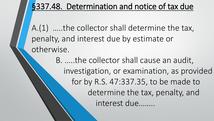## §337.48. Determination and notice of tax due

A.(1) …..the collector shall determine the tax, penalty, and interest due by estimate or otherwise.

> B. …..the collector shall cause an audit, investigation, or examination, as provided for by R.S. 47:337.35, to be made to determine the tax, penalty, and interest due……..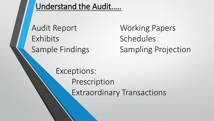Understand the Audit…..

Audit Report Working Papers Exhibits Schedules

Sample Findings Sampling Projection

Exceptions: Prescription Extraordinary Transactions